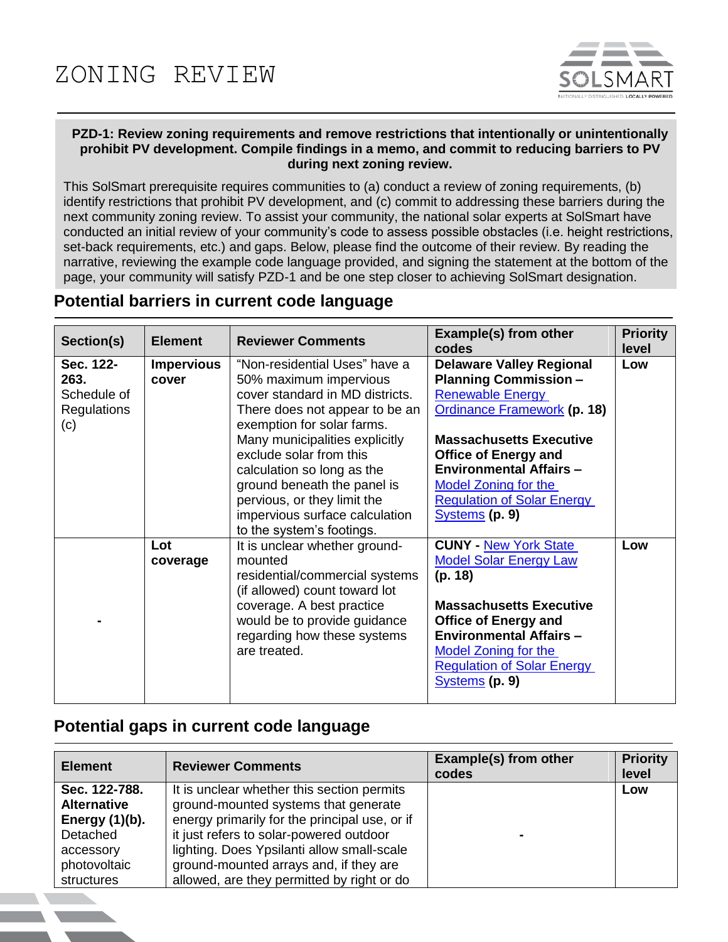

## **PZD-1: Review zoning requirements and remove restrictions that intentionally or unintentionally prohibit PV development. Compile findings in a memo, and commit to reducing barriers to PV during next zoning review.**

This SolSmart prerequisite requires communities to (a) conduct a review of zoning requirements, (b) identify restrictions that prohibit PV development, and (c) commit to addressing these barriers during the next community zoning review. To assist your community, the national solar experts at SolSmart have conducted an initial review of your community's code to assess possible obstacles (i.e. height restrictions, set-back requirements, etc.) and gaps. Below, please find the outcome of their review. By reading the narrative, reviewing the example code language provided, and signing the statement at the bottom of the page, your community will satisfy PZD-1 and be one step closer to achieving SolSmart designation.

## **Potential barriers in current code language**

| Section(s)                                                    | <b>Element</b>             | <b>Reviewer Comments</b>                                                                                                                                                                                                                                                                                                                                                           | <b>Example(s) from other</b><br>codes                                                                                                                                                                                                                                                                              | <b>Priority</b><br>level |
|---------------------------------------------------------------|----------------------------|------------------------------------------------------------------------------------------------------------------------------------------------------------------------------------------------------------------------------------------------------------------------------------------------------------------------------------------------------------------------------------|--------------------------------------------------------------------------------------------------------------------------------------------------------------------------------------------------------------------------------------------------------------------------------------------------------------------|--------------------------|
| Sec. 122-<br>263.<br>Schedule of<br><b>Regulations</b><br>(c) | <b>Impervious</b><br>cover | "Non-residential Uses" have a<br>50% maximum impervious<br>cover standard in MD districts.<br>There does not appear to be an<br>exemption for solar farms.<br>Many municipalities explicitly<br>exclude solar from this<br>calculation so long as the<br>ground beneath the panel is<br>pervious, or they limit the<br>impervious surface calculation<br>to the system's footings. | <b>Delaware Valley Regional</b><br><b>Planning Commission -</b><br><b>Renewable Energy</b><br><b>Ordinance Framework (p. 18)</b><br><b>Massachusetts Executive</b><br><b>Office of Energy and</b><br><b>Environmental Affairs -</b><br>Model Zoning for the<br><b>Regulation of Solar Energy</b><br>Systems (p. 9) | Low                      |
|                                                               | Lot<br>coverage            | It is unclear whether ground-<br>mounted<br>residential/commercial systems<br>(if allowed) count toward lot<br>coverage. A best practice<br>would be to provide guidance<br>regarding how these systems<br>are treated.                                                                                                                                                            | <b>CUNY - New York State</b><br><b>Model Solar Energy Law</b><br>(p. 18)<br><b>Massachusetts Executive</b><br><b>Office of Energy and</b><br><b>Environmental Affairs -</b><br><b>Model Zoning for the</b><br><b>Regulation of Solar Energy</b><br>Systems (p. 9)                                                  | Low                      |

## **Potential gaps in current code language**

| <b>Element</b>                                                                                                  | <b>Reviewer Comments</b>                                                                                                                                                                                                                                                                                             | Example(s) from other<br>codes | <b>Priority</b><br>level |
|-----------------------------------------------------------------------------------------------------------------|----------------------------------------------------------------------------------------------------------------------------------------------------------------------------------------------------------------------------------------------------------------------------------------------------------------------|--------------------------------|--------------------------|
| Sec. 122-788.<br><b>Alternative</b><br>Energy $(1)(b)$ .<br>Detached<br>accessory<br>photovoltaic<br>structures | It is unclear whether this section permits<br>ground-mounted systems that generate<br>energy primarily for the principal use, or if<br>it just refers to solar-powered outdoor<br>lighting. Does Ypsilanti allow small-scale<br>ground-mounted arrays and, if they are<br>allowed, are they permitted by right or do |                                | Low                      |